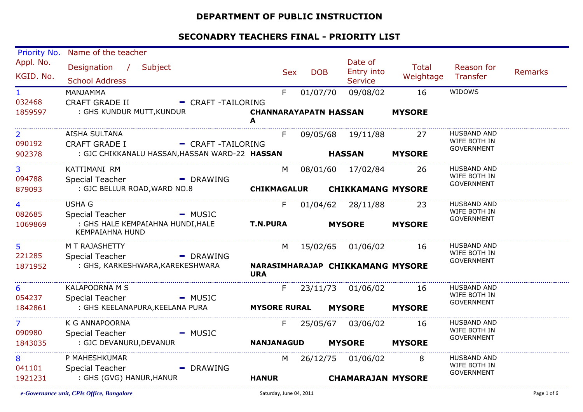#### **DEPARTMENT OF PUBLIC INSTRUCTION**

| Priority No.           | Name of the teacher                                                                        |                                   |                |            |  |                                                |                           |                                   |                |
|------------------------|--------------------------------------------------------------------------------------------|-----------------------------------|----------------|------------|--|------------------------------------------------|---------------------------|-----------------------------------|----------------|
| Appl. No.<br>KGID. No. | Designation / Subject<br><b>School Address</b>                                             |                                   | <b>Sex</b>     | <b>DOB</b> |  | Date of<br><b>Entry into</b><br><b>Service</b> | <b>Total</b><br>Weightage | Reason for<br>Transfer            | <b>Remarks</b> |
| $\mathbf{1}$           | MANJAMMA                                                                                   |                                   | F              | 01/07/70   |  | 09/08/02                                       | 16                        | WIDOWS                            |                |
| 032468<br>1859597      | <b>CRAFT GRADE II</b><br>- CRAFT-TAILORING<br>: GHS KUNDUR MUTT, KUNDUR                    | <b>CHANNARAYAPATN HASSAN</b><br>A |                |            |  |                                                | <b>MYSORE</b>             |                                   |                |
| $\overline{2}$         | AISHA SULTANA                                                                              |                                   | F.             |            |  | 09/05/68 19/11/88                              | 27                        | <b>HUSBAND AND</b>                |                |
| 090192                 | <b>CRAFT GRADE I</b><br>- CRAFT-TAILORING                                                  |                                   |                |            |  |                                                |                           | WIFE BOTH IN<br><b>GOVERNMENT</b> |                |
| 902378                 | : GJC CHIKKANALU HASSAN, HASSAN WARD-22 HASSAN                                             | <b>HASSAN</b>                     |                |            |  | <b>MYSORE</b>                                  |                           |                                   |                |
| 3                      | KATTIMANI RM                                                                               |                                   |                |            |  | M 08/01/60 17/02/84                            | -26                       | <b>HUSBAND AND</b>                |                |
| 094788                 | <b>Special Teacher</b><br>- DRAWING                                                        |                                   |                |            |  |                                                |                           | WIFE BOTH IN<br><b>GOVERNMENT</b> |                |
| 879093                 | : GJC BELLUR ROAD, WARD NO.8                                                               | <b>CHIKMAGALUR</b>                |                |            |  | <b>CHIKKAMANG MYSORE</b>                       |                           |                                   |                |
| 4                      | <b>USHA G</b>                                                                              |                                   | F.             |            |  | 01/04/62 28/11/88                              | 23                        | <b>HUSBAND AND</b>                |                |
| 082685<br>1069869      | Special Teacher<br>$-MUSIC$<br>: GHS HALE KEMPAIAHNA HUNDI, HALE<br><b>KEMPAIAHNA HUND</b> | <b>T.N.PURA</b>                   |                |            |  | <b>MYSORE</b>                                  | <b>MYSORE</b>             | WIFE BOTH IN<br><b>GOVERNMENT</b> |                |
| 5 <sup>1</sup>         | M T RAJASHETTY                                                                             |                                   | M              |            |  | 15/02/65 01/06/02                              | 16                        | <b>HUSBAND AND</b>                |                |
| 221285                 | <b>Special Teacher</b><br>- DRAWING                                                        |                                   |                |            |  |                                                |                           | WIFE BOTH IN<br><b>GOVERNMENT</b> |                |
| 1871952                | : GHS, KARKESHWARA, KAREKESHWARA                                                           | <b>URA</b>                        |                |            |  | NARASIMHARAJAP CHIKKAMANG MYSORE               |                           |                                   |                |
| 6                      | <b>KALAPOORNA M S</b>                                                                      |                                   | F              |            |  | 23/11/73 01/06/02                              | 16                        | <b>HUSBAND AND</b>                |                |
| 054237                 | <b>Special Teacher</b><br>- MUSIC                                                          |                                   |                |            |  |                                                |                           | WIFE BOTH IN<br><b>GOVERNMENT</b> |                |
| 1842861                | : GHS KEELANAPURA, KEELANA PURA                                                            | <b>MYSORE RURAL</b>               |                |            |  | <b>MYSORE</b>                                  | <b>MYSORE</b>             |                                   |                |
| 7                      | K G ANNAPOORNA                                                                             |                                   | F.             |            |  | 25/05/67 03/06/02                              | 16                        | <b>HUSBAND AND</b>                |                |
| 090980                 | <b>Special Teacher</b><br>- MUSIC                                                          |                                   |                |            |  |                                                |                           | WIFE BOTH IN<br><b>GOVERNMENT</b> |                |
| 1843035                | : GJC DEVANURU, DEVANUR                                                                    | <b>NANJANAGUD</b>                 |                |            |  | <b>MYSORE</b>                                  | <b>MYSORE</b>             |                                   |                |
| 8                      | P MAHESHKUMAR                                                                              |                                   | M <sub>a</sub> |            |  | 26/12/75 01/06/02                              | 8                         | <b>HUSBAND AND</b>                |                |
| 041101                 | <b>Special Teacher</b><br>$-$ DRAWING                                                      |                                   |                |            |  |                                                |                           | WIFE BOTH IN<br><b>GOVERNMENT</b> |                |
| 1921231                | : GHS (GVG) HANUR, HANUR                                                                   | <b>HANUR</b>                      |                |            |  | <b>CHAMARAJAN MYSORE</b>                       |                           |                                   |                |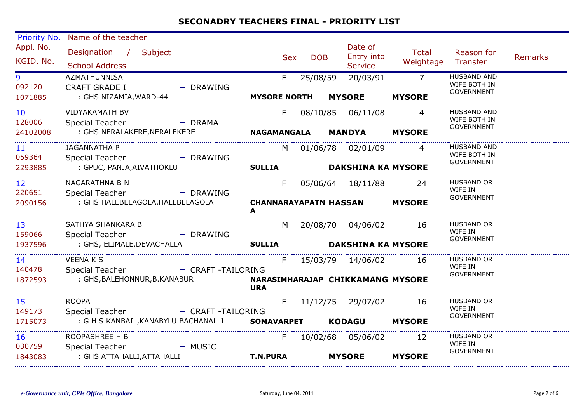| Priority No.              | Name of the teacher                               |                   |                                   |            |                                         |                                  |                                                         |                |
|---------------------------|---------------------------------------------------|-------------------|-----------------------------------|------------|-----------------------------------------|----------------------------------|---------------------------------------------------------|----------------|
| Appl. No.<br>KGID. No.    | Designation /<br>Subject<br><b>School Address</b> |                   | <b>Sex</b>                        | <b>DOB</b> | Date of<br>Entry into<br><b>Service</b> | Total<br>Weightage               | Reason for<br>Transfer                                  | <b>Remarks</b> |
| 9<br>092120               | AZMATHUNNISA<br><b>CRAFT GRADE I</b>              | $-$ DRAWING       | F.                                | 25/08/59   | 20/03/91                                | $\overline{7}$                   | <b>HUSBAND AND</b><br>WIFE BOTH IN<br><b>GOVERNMENT</b> |                |
| 1071885                   | : GHS NIZAMIA, WARD-44                            |                   | <b>MYSORE NORTH</b>               |            | <b>MYSORE</b>                           | <b>MYSORE</b>                    |                                                         |                |
| 10<br>128006              | <b>VIDYAKAMATH BV</b><br>Special Teacher          | $-$ DRAMA         | F.                                |            | 08/10/85 06/11/08                       | 4                                | <b>HUSBAND AND</b><br>WIFE BOTH IN                      |                |
| 24102008                  | : GHS NERALAKERE, NERALEKERE                      |                   | <b>NAGAMANGALA</b>                |            | <b>MANDYA</b>                           | <b>MYSORE</b>                    | <b>GOVERNMENT</b>                                       |                |
| 11<br>059364              | <b>JAGANNATHA P</b><br><b>Special Teacher</b>     | - DRAWING         | M                                 |            | 01/06/78 02/01/09                       | 4                                | <b>HUSBAND AND</b><br>WIFE BOTH IN                      |                |
| 2293885                   | : GPUC, PANJA, AIVATHOKLU                         |                   | <b>SULLIA</b>                     |            |                                         | <b>DAKSHINA KA MYSORE</b>        | GOVERNMENT                                              |                |
| 12 <sup>2</sup><br>220651 | NAGARATHNA B N<br>Special Teacher                 | - DRAWING         | F.                                |            | 05/06/64 18/11/88                       | 24                               | <b>HUSBAND OR</b><br>WIFE IN<br>GOVERNMENT              |                |
| 2090156                   | : GHS HALEBELAGOLA, HALEBELAGOLA                  |                   | <b>CHANNARAYAPATN HASSAN</b><br>A |            |                                         | <b>MYSORE</b>                    |                                                         |                |
| 13<br>159066              | SATHYA SHANKARA B<br><b>Special Teacher</b>       | - DRAWING         | M                                 |            | 20/08/70 04/06/02                       | 16                               | <b>HUSBAND OR</b><br>WIFE IN<br><b>GOVERNMENT</b>       |                |
| 1937596                   | : GHS, ELIMALE, DEVACHALLA                        |                   | <b>SULLIA</b>                     |            |                                         | <b>DAKSHINA KA MYSORE</b>        |                                                         |                |
| 14<br>140478              | <b>VEENAKS</b><br>Special Teacher                 | - CRAFT-TAILORING | F.                                |            | 15/03/79 14/06/02                       | -16                              | <b>HUSBAND OR</b><br>WIFE IN<br>GOVERNMENT              |                |
| 1872593                   | : GHS, BALEHONNUR, B. KANABUR                     |                   | <b>URA</b>                        |            |                                         | NARASIMHARAJAP CHIKKAMANG MYSORE |                                                         |                |
| 15<br>149173              | <b>ROOPA</b><br><b>Special Teacher</b>            | - CRAFT-TAILORING | F.                                |            | 11/12/75 29/07/02                       | 16                               | <b>HUSBAND OR</b><br>WIFE IN<br>GOVERNMENT              |                |
| 1715073                   | : G H S KANBAIL, KANABYLU BACHANALLI              |                   | <b>SOMAVARPET</b>                 |            | <b>KODAGU</b>                           | <b>MYSORE</b>                    |                                                         |                |
| 16<br>030759              | ROOPASHREE H B<br><b>Special Teacher</b>          | $-MUSIC$          | F.                                |            | 10/02/68 05/06/02                       | 12                               | HUSBAND OR<br>WIFE IN                                   |                |
| 1843083                   | : GHS ATTAHALLI, ATTAHALLI                        |                   | <b>T.N.PURA</b>                   |            | <b>MYSORE</b>                           | <b>MYSORE</b>                    | GOVERNMENT                                              |                |
|                           |                                                   |                   |                                   |            |                                         |                                  |                                                         |                |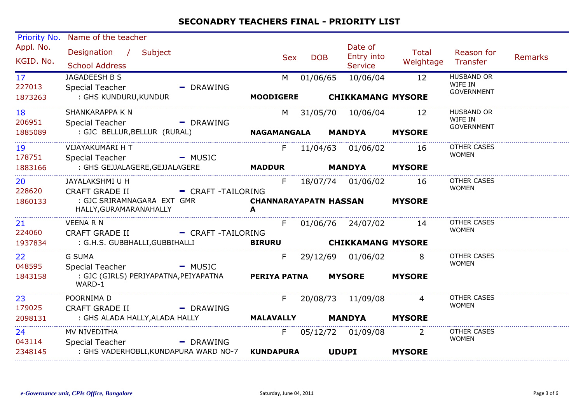| <b>Priority No.</b>                  | Name of the teacher                                                                                          |           |                                        |            |                                                |                    |                                                   |                |
|--------------------------------------|--------------------------------------------------------------------------------------------------------------|-----------|----------------------------------------|------------|------------------------------------------------|--------------------|---------------------------------------------------|----------------|
| Appl. No.<br>KGID. No.               | Designation / Subject<br><b>School Address</b>                                                               |           | Sex                                    | <b>DOB</b> | Date of<br>Entry into<br><b>Service</b>        | Total<br>Weightage | Reason for<br>Transfer                            | <b>Remarks</b> |
| 17<br>227013<br>1873263              | JAGADEESH B S<br><b>Special Teacher</b><br>: GHS KUNDURU,KUNDUR                                              | - DRAWING | M<br>MOODIGERE CHIKKAMANG MYSORE       | 01/06/65   | 10/06/04                                       | 12                 | <b>HUSBAND OR</b><br>WIFE IN<br><b>GOVERNMENT</b> |                |
| 18<br>206951<br>1885089              | SHANKARAPPA K N<br>Special Teacher - The DRAWING                                                             |           |                                        |            | M 31/05/70 10/06/04 12                         |                    | <b>HUSBAND OR</b><br>WIFE IN<br>GOVERNMENT        |                |
| 19<br>178751<br>1883166              | VIJAYAKUMARI H T<br>Special Teacher - MUSIC<br>: GHS GEJJALAGERE,GEJJALAGERE                                 |           | <b>MADDUR</b>                          |            | F 11/04/63 01/06/02 16<br><b>MANDYA MYSORE</b> |                    | <b>OTHER CASES</b><br><b>WOMEN</b>                |                |
| 20<br>228620<br>1860133              | JAYALAKSHMI U H<br>CRAFT GRADE II - CRAFT -TAILORING<br>: GJC SRIRAMNAGARA EXT GMR<br>HALLY, GURAMARANAHALLY |           | F<br><b>CHANNARAYAPATN HASSAN</b><br>A |            | 18/07/74 01/06/02 16                           | <b>MYSORE</b>      | <b>OTHER CASES</b><br><b>WOMEN</b>                |                |
| 21<br>224060<br>1937834              | <b>VEENA R N</b><br>CRAFT GRADE II - CRAFT -TAILORING<br>: G.H.S. GUBBHALLI,GUBBIHALLI                       |           | $F -$<br>BIRURU CHIKKAMANG MYSORE      |            | 01/06/76 24/07/02 14                           |                    | OTHER CASES<br><b>WOMEN</b>                       |                |
| 22 <sub>2</sub><br>048595<br>1843158 | <b>G SUMA</b><br>Special Teacher - MUSIC<br>: GJC (GIRLS) PERIYAPATNA,PEIYAPATNA<br>WARD-1                   |           | <b>PERIYA PATNA</b>                    |            | F 29/12/69 01/06/02 8<br><b>MYSORE</b>         | <b>MYSORE</b>      | <b>OTHER CASES</b><br><b>WOMEN</b>                |                |
| 23<br>179025<br>2098131              | POORNIMA D<br><b>CRAFT GRADE II</b><br>: GHS ALADA HALLY, ALADA HALLY                                        | - DRAWING | <b>MALAVALLY</b>                       |            | F 20/08/73 11/09/08 4<br><b>MANDYA MYSORE</b>  |                    | <b>OTHER CASES</b><br><b>WOMEN</b>                |                |
| 24<br>043114<br>2348145              | MV NIVEDITHA<br><b>Special Teacher</b><br>: GHS VADERHOBLI, KUNDAPURA WARD NO-7                              | - DRAWING | <b>KUNDAPURA</b>                       |            | F 05/12/72 01/09/08 2<br><b>UDUPI</b>          | <b>MYSORE</b>      | OTHER CASES<br><b>WOMEN</b>                       |                |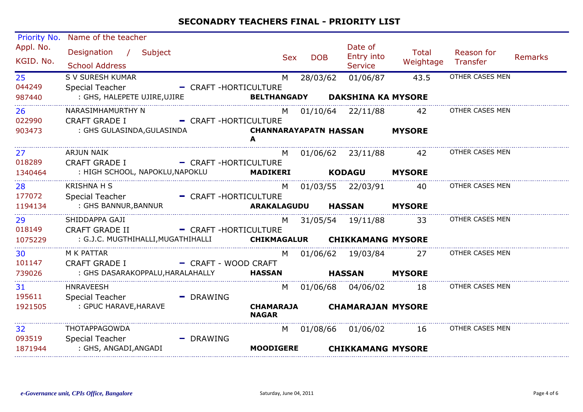| Priority No.              | Name of the teacher                               |                        |                                   |            |                                         |                           |                        |                |
|---------------------------|---------------------------------------------------|------------------------|-----------------------------------|------------|-----------------------------------------|---------------------------|------------------------|----------------|
| Appl. No.<br>KGID. No.    | Designation / Subject<br><b>School Address</b>    |                        | <b>Sex</b>                        | <b>DOB</b> | Date of<br>Entry into<br><b>Service</b> | <b>Total</b><br>Weightage | Reason for<br>Transfer | <b>Remarks</b> |
| 25 <sub>2</sub><br>044249 | S V SURESH KUMAR<br>Special Teacher               | - CRAFT-HORTICULTURE   | M                                 | 28/03/62   | 01/06/87                                | 43.5                      | OTHER CASES MEN        |                |
| 987440                    | : GHS, HALEPETE UJIRE, UJIRE                      | <b>BELTHANGADY</b>     |                                   |            | <b>DAKSHINA KA MYSORE</b>               |                           |                        |                |
| 26<br>022990              | NARASIMHAMURTHY N<br><b>CRAFT GRADE I</b>         | - CRAFT-HORTICULTURE   |                                   |            | M 01/10/64 22/11/88                     | 42                        | OTHER CASES MEN        |                |
| 903473                    | : GHS GULASINDA, GULASINDA                        |                        | <b>CHANNARAYAPATN HASSAN</b><br>A |            |                                         | <b>MYSORE</b>             |                        |                |
| 27<br>018289              | ARJUN NAIK<br>CRAFT GRADE I - CRAFT -HORTICULTURE |                        |                                   |            | M 01/06/62 23/11/88                     | 42                        | OTHER CASES MEN        |                |
| 1340464                   | : HIGH SCHOOL, NAPOKLU,NAPOKLU                    |                        | MADIKERI                          |            | <b>KODAGU</b>                           | <b>MYSORE</b>             |                        |                |
| 28<br>177072              | <b>KRISHNA H S</b><br>Special Teacher             | - CRAFT-HORTICULTURE   |                                   |            | M 01/03/55 22/03/91                     | 40                        | OTHER CASES MEN        |                |
| 1194134                   | : GHS BANNUR, BANNUR                              |                        | ARAKALAGUDU                       |            | <b>HASSAN</b>                           | <b>MYSORE</b>             |                        |                |
| 29<br>018149              | SHIDDAPPA GAJI<br><b>CRAFT GRADE II</b>           | - CRAFT-HORTICULTURE   | M                                 |            | 31/05/54 19/11/88                       | 33                        | OTHER CASES MEN        |                |
| 1075229                   | : G.J.C. MUGTHIHALLI, MUGATHIHALLI                |                        | CHIKMAGALUR CHIKKAMANG MYSORE     |            |                                         |                           |                        |                |
| 30<br>101147              | M K PATTAR<br><b>CRAFT GRADE I</b>                | - CRAFT - WOOD CRAFT   | M                                 |            | 01/06/62 19/03/84                       | 27                        | OTHER CASES MEN        |                |
| 739026                    | : GHS DASARAKOPPALU, HARALAHALLY                  |                        | <b>HASSAN</b>                     |            | HASSAN                                  | <b>MYSORE</b>             |                        |                |
| 31<br>195611              | <b>HNRAVEESH</b><br>Special Teacher               | $\blacksquare$ DRAWING | M                                 |            |                                         | 18                        | OTHER CASES MEN        |                |
| 1921505                   | : GPUC HARAVE, HARAVE                             |                        | <b>CHAMARAJA</b><br><b>NAGAR</b>  |            | <b>CHAMARAJAN MYSORE</b>                |                           |                        |                |
| 32<br>093519              | THOTAPPAGOWDA<br><b>Special Teacher</b>           | - DRAWING              | M                                 |            | 01/08/66 01/06/02                       | 16                        | OTHER CASES MEN        |                |
| 1871944                   | : GHS, ANGADI, ANGADI                             |                        | <b>MOODIGERE</b>                  |            | <b>CHIKKAMANG MYSORE</b>                |                           |                        |                |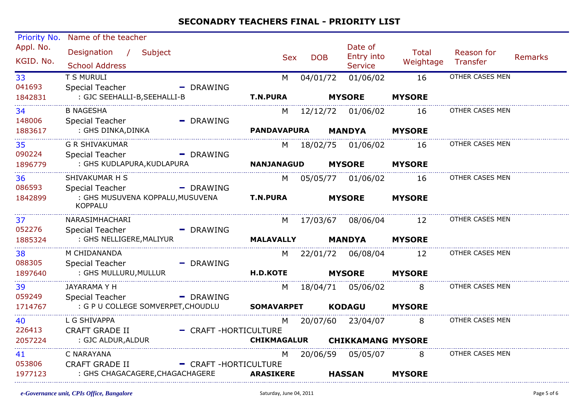| Priority No.           | Name of the teacher                                |                        |                    |            |                          |                    |                        |                |
|------------------------|----------------------------------------------------|------------------------|--------------------|------------|--------------------------|--------------------|------------------------|----------------|
| Appl. No.<br>KGID. No. | Designation / Subject                              |                        | <b>Sex</b>         | <b>DOB</b> | Date of<br>Entry into    | Total<br>Weightage | Reason for<br>Transfer | <b>Remarks</b> |
|                        | <b>School Address</b>                              |                        |                    |            | <b>Service</b>           |                    |                        |                |
| 33                     | T S MURULI                                         |                        | M                  | 04/01/72   | 01/06/02                 | 16                 | OTHER CASES MEN        |                |
| 041693                 | <b>Special Teacher</b>                             | $-$ DRAWING            |                    |            |                          |                    |                        |                |
| 1842831                | : GJC SEEHALLI-B, SEEHALLI-B                       |                        | <b>T.N.PURA</b>    |            | <b>MYSORE</b>            | <b>MYSORE</b>      |                        |                |
| 34                     | <b>B NAGESHA</b>                                   |                        | M                  |            | 12/12/72  01/06/02       | 16                 | OTHER CASES MEN        |                |
| 148006                 | <b>Special Teacher</b>                             | $\blacksquare$ DRAWING |                    |            |                          |                    |                        |                |
| 1883617                | : GHS DINKA, DINKA                                 |                        | <b>PANDAVAPURA</b> |            | <b>MANDYA</b>            | <b>MYSORE</b>      |                        |                |
| 35                     | <b>G R SHIVAKUMAR</b>                              |                        |                    |            | M 18/02/75 01/06/02      | 16                 | OTHER CASES MEN        |                |
| 090224                 | <b>Special Teacher</b>                             | $-$ DRAWING            |                    |            |                          |                    |                        |                |
| 1896779                | : GHS KUDLAPURA, KUDLAPURA                         |                        | <b>NANJANAGUD</b>  |            | <b>MYSORE</b>            | <b>MYSORE</b>      |                        |                |
| 36                     | SHIVAKUMAR H S                                     |                        | M                  |            |                          | 16                 | OTHER CASES MEN        |                |
| 086593                 | <b>Special Teacher</b>                             | $\blacksquare$ DRAWING |                    |            |                          |                    |                        |                |
| 1842899                | : GHS MUSUVENA KOPPALU, MUSUVENA<br><b>KOPPALU</b> |                        | <b>T.N.PURA</b>    |            | <b>MYSORE</b>            | <b>MYSORE</b>      |                        |                |
| 37                     | NARASIMHACHARI                                     |                        | M                  | 17/03/67   |                          | 08/06/04 12        | OTHER CASES MEN        |                |
| 052276                 | <b>Special Teacher</b>                             | $\blacksquare$ DRAWING |                    |            |                          |                    |                        |                |
| 1885324                | : GHS NELLIGERE, MALIYUR                           |                        | <b>MALAVALLY</b>   |            | <b>MANDYA</b>            | <b>MYSORE</b>      |                        |                |
| 38                     | M CHIDANANDA                                       |                        |                    |            | M 22/01/72 06/08/04      | 12                 | OTHER CASES MEN        |                |
| 088305                 | <b>Special Teacher</b>                             | - DRAWING              |                    |            |                          |                    |                        |                |
| 1897640                | : GHS MULLURU,MULLUR                               |                        | <b>H.D.KOTE</b>    |            | <b>MYSORE</b>            | <b>MYSORE</b>      |                        |                |
| 39                     | JAYARAMA Y H                                       |                        | M                  |            |                          | 8                  | OTHER CASES MEN        |                |
| 059249                 | <b>Special Teacher</b>                             | $\blacksquare$ DRAWING |                    |            |                          |                    |                        |                |
| 1714767                | : G P U COLLEGE SOMVERPET, CHOUDLU                 |                        | <b>SOMAVARPET</b>  |            | <b>KODAGU</b>            | <b>MYSORE</b>      |                        |                |
| 40                     | L G SHIVAPPA                                       |                        | M                  |            | 20/07/60 23/04/07 8      |                    | OTHER CASES MEN        |                |
| 226413                 | <b>CRAFT GRADE II</b>                              | - CRAFT-HORTICULTURE   |                    |            |                          |                    |                        |                |
| 2057224                | : GJC ALDUR, ALDUR                                 |                        | <b>CHIKMAGALUR</b> |            | <b>CHIKKAMANG MYSORE</b> |                    |                        |                |
| 41                     | C NARAYANA                                         |                        | M                  |            | 20/06/59 05/05/07        | 8                  | OTHER CASES MEN        |                |
| 053806                 | <b>CRAFT GRADE II</b>                              | - CRAFT-HORTICULTURE   |                    |            |                          |                    |                        |                |
| 1977123                | : GHS CHAGACAGERE, CHAGACHAGERE                    |                        | <b>ARASIKERE</b>   |            | <b>HASSAN</b>            | <b>MYSORE</b>      |                        |                |
|                        |                                                    |                        |                    |            |                          |                    |                        |                |